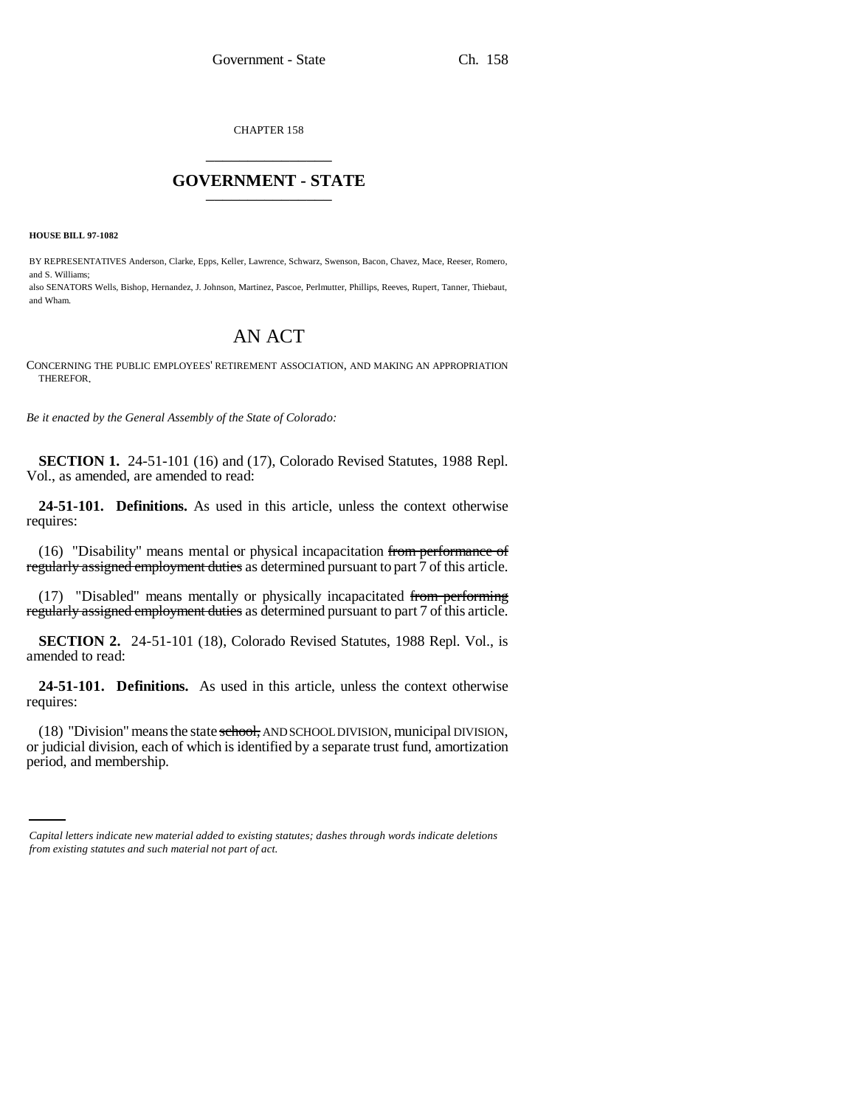CHAPTER 158 \_\_\_\_\_\_\_\_\_\_\_\_\_\_\_

# **GOVERNMENT - STATE** \_\_\_\_\_\_\_\_\_\_\_\_\_\_\_

**HOUSE BILL 97-1082**

BY REPRESENTATIVES Anderson, Clarke, Epps, Keller, Lawrence, Schwarz, Swenson, Bacon, Chavez, Mace, Reeser, Romero, and S. Williams;

also SENATORS Wells, Bishop, Hernandez, J. Johnson, Martinez, Pascoe, Perlmutter, Phillips, Reeves, Rupert, Tanner, Thiebaut, and Wham.

# AN ACT

CONCERNING THE PUBLIC EMPLOYEES' RETIREMENT ASSOCIATION, AND MAKING AN APPROPRIATION THEREFOR.

*Be it enacted by the General Assembly of the State of Colorado:*

**SECTION 1.** 24-51-101 (16) and (17), Colorado Revised Statutes, 1988 Repl. Vol., as amended, are amended to read:

**24-51-101. Definitions.** As used in this article, unless the context otherwise requires:

(16) "Disability" means mental or physical incapacitation from performance of regularly assigned employment duties as determined pursuant to part 7 of this article.

(17) "Disabled" means mentally or physically incapacitated from performing regularly assigned employment duties as determined pursuant to part 7 of this article.

**SECTION 2.** 24-51-101 (18), Colorado Revised Statutes, 1988 Repl. Vol., is amended to read:

**24-51-101. Definitions.** As used in this article, unless the context otherwise requires:

or judicial division, each of which is identified by a separate trust fund, amortization (18) "Division" means the state school, AND SCHOOL DIVISION, municipal DIVISION, period, and membership.

*Capital letters indicate new material added to existing statutes; dashes through words indicate deletions from existing statutes and such material not part of act.*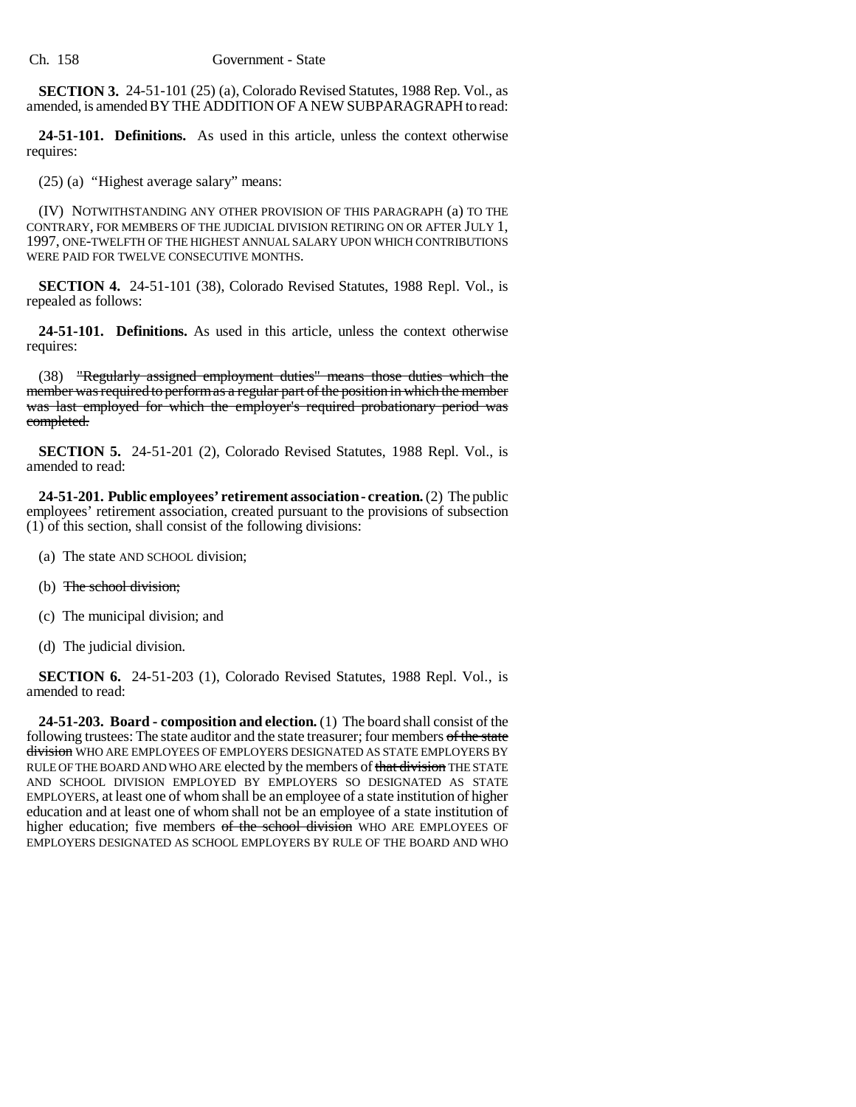**SECTION 3.** 24-51-101 (25) (a), Colorado Revised Statutes, 1988 Rep. Vol., as amended, is amended BY THE ADDITION OF A NEW SUBPARAGRAPH to read:

**24-51-101. Definitions.** As used in this article, unless the context otherwise requires:

(25) (a) "Highest average salary" means:

(IV) NOTWITHSTANDING ANY OTHER PROVISION OF THIS PARAGRAPH (a) TO THE CONTRARY, FOR MEMBERS OF THE JUDICIAL DIVISION RETIRING ON OR AFTER JULY 1, 1997, ONE-TWELFTH OF THE HIGHEST ANNUAL SALARY UPON WHICH CONTRIBUTIONS WERE PAID FOR TWELVE CONSECUTIVE MONTHS.

**SECTION 4.** 24-51-101 (38), Colorado Revised Statutes, 1988 Repl. Vol., is repealed as follows:

**24-51-101. Definitions.** As used in this article, unless the context otherwise requires:

(38) "Regularly assigned employment duties" means those duties which the member was required to perform as a regular part of the position in which the member was last employed for which the employer's required probationary period was completed.

**SECTION 5.** 24-51-201 (2), Colorado Revised Statutes, 1988 Repl. Vol., is amended to read:

**24-51-201. Public employees' retirement association - creation.** (2) The public employees' retirement association, created pursuant to the provisions of subsection (1) of this section, shall consist of the following divisions:

- (a) The state AND SCHOOL division;
- (b) The school division:
- (c) The municipal division; and
- (d) The judicial division.

**SECTION 6.** 24-51-203 (1), Colorado Revised Statutes, 1988 Repl. Vol., is amended to read:

**24-51-203. Board - composition and election.** (1) The board shall consist of the following trustees: The state auditor and the state treasurer; four members of the state division WHO ARE EMPLOYEES OF EMPLOYERS DESIGNATED AS STATE EMPLOYERS BY RULE OF THE BOARD AND WHO ARE elected by the members of that division THE STATE AND SCHOOL DIVISION EMPLOYED BY EMPLOYERS SO DESIGNATED AS STATE EMPLOYERS, at least one of whom shall be an employee of a state institution of higher education and at least one of whom shall not be an employee of a state institution of higher education; five members of the school division WHO ARE EMPLOYEES OF EMPLOYERS DESIGNATED AS SCHOOL EMPLOYERS BY RULE OF THE BOARD AND WHO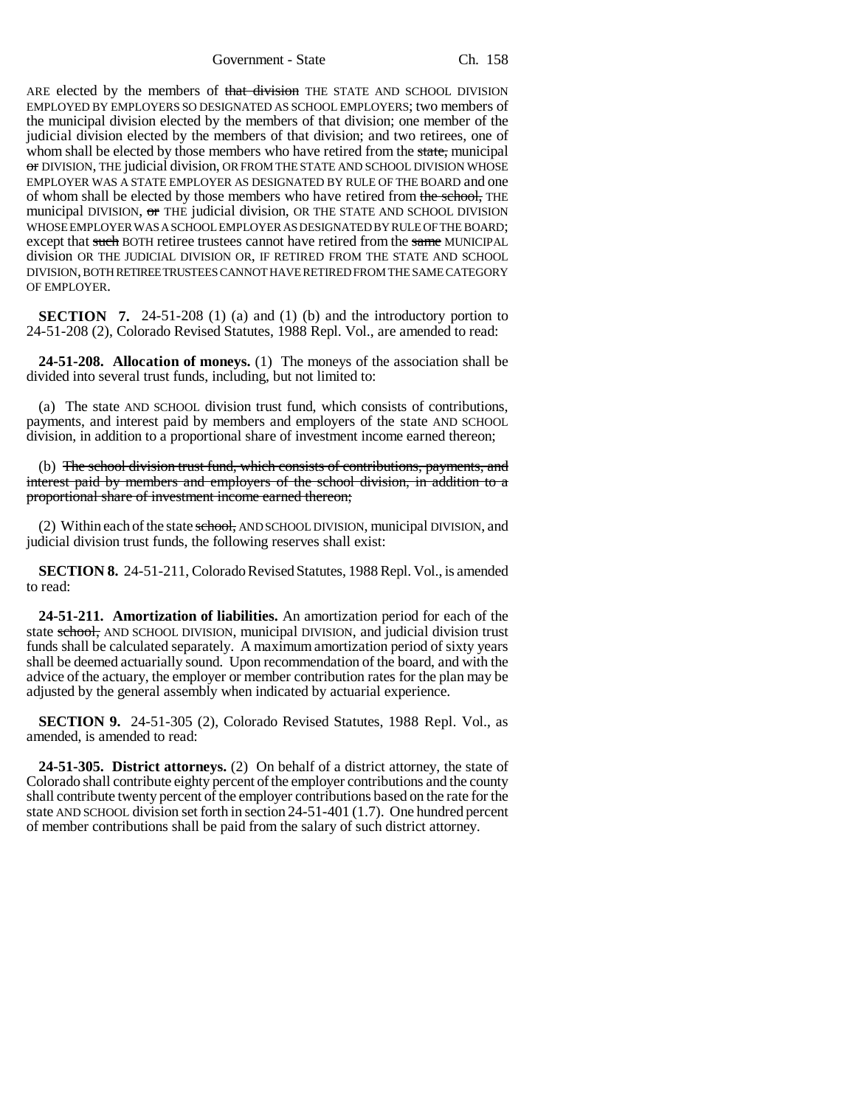Government - State Ch. 158

ARE elected by the members of that division THE STATE AND SCHOOL DIVISION EMPLOYED BY EMPLOYERS SO DESIGNATED AS SCHOOL EMPLOYERS; two members of the municipal division elected by the members of that division; one member of the judicial division elected by the members of that division; and two retirees, one of whom shall be elected by those members who have retired from the state, municipal or DIVISION, THE judicial division, OR FROM THE STATE AND SCHOOL DIVISION WHOSE EMPLOYER WAS A STATE EMPLOYER AS DESIGNATED BY RULE OF THE BOARD and one of whom shall be elected by those members who have retired from the school, THE municipal DIVISION, or THE judicial division, OR THE STATE AND SCHOOL DIVISION WHOSE EMPLOYER WAS A SCHOOL EMPLOYER AS DESIGNATED BY RULE OF THE BOARD; except that such BOTH retiree trustees cannot have retired from the same MUNICIPAL division OR THE JUDICIAL DIVISION OR, IF RETIRED FROM THE STATE AND SCHOOL DIVISION, BOTH RETIREE TRUSTEES CANNOT HAVE RETIRED FROM THE SAME CATEGORY OF EMPLOYER.

**SECTION 7.** 24-51-208 (1) (a) and (1) (b) and the introductory portion to 24-51-208 (2), Colorado Revised Statutes, 1988 Repl. Vol., are amended to read:

**24-51-208. Allocation of moneys.** (1) The moneys of the association shall be divided into several trust funds, including, but not limited to:

(a) The state AND SCHOOL division trust fund, which consists of contributions, payments, and interest paid by members and employers of the state AND SCHOOL division, in addition to a proportional share of investment income earned thereon;

(b) The school division trust fund, which consists of contributions, payments, and interest paid by members and employers of the school division, in addition to a proportional share of investment income earned thereon;

(2) Within each of the state school, AND SCHOOL DIVISION, municipal DIVISION, and judicial division trust funds, the following reserves shall exist:

**SECTION 8.** 24-51-211, Colorado Revised Statutes, 1988 Repl. Vol., is amended to read:

**24-51-211. Amortization of liabilities.** An amortization period for each of the state school, AND SCHOOL DIVISION, municipal DIVISION, and judicial division trust funds shall be calculated separately. A maximum amortization period of sixty years shall be deemed actuarially sound. Upon recommendation of the board, and with the advice of the actuary, the employer or member contribution rates for the plan may be adjusted by the general assembly when indicated by actuarial experience.

**SECTION 9.** 24-51-305 (2), Colorado Revised Statutes, 1988 Repl. Vol., as amended, is amended to read:

**24-51-305. District attorneys.** (2) On behalf of a district attorney, the state of Colorado shall contribute eighty percent of the employer contributions and the county shall contribute twenty percent of the employer contributions based on the rate for the state AND SCHOOL division set forth in section 24-51-401 (1.7). One hundred percent of member contributions shall be paid from the salary of such district attorney.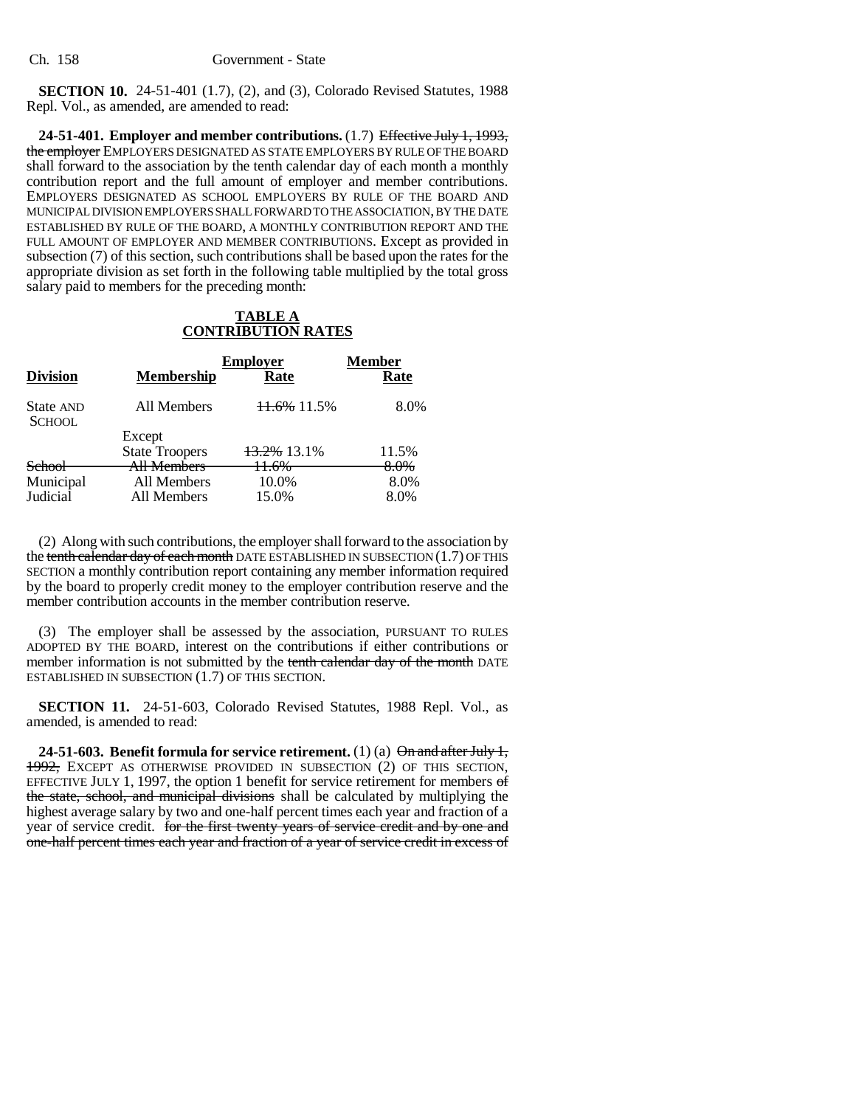**SECTION 10.** 24-51-401 (1.7), (2), and (3), Colorado Revised Statutes, 1988 Repl. Vol., as amended, are amended to read:

**24-51-401. Employer and member contributions.** (1.7) Effective July 1, 1993, the employer EMPLOYERS DESIGNATED AS STATE EMPLOYERS BY RULE OF THE BOARD shall forward to the association by the tenth calendar day of each month a monthly contribution report and the full amount of employer and member contributions. EMPLOYERS DESIGNATED AS SCHOOL EMPLOYERS BY RULE OF THE BOARD AND MUNICIPAL DIVISION EMPLOYERS SHALL FORWARD TO THE ASSOCIATION, BY THE DATE ESTABLISHED BY RULE OF THE BOARD, A MONTHLY CONTRIBUTION REPORT AND THE FULL AMOUNT OF EMPLOYER AND MEMBER CONTRIBUTIONS. Except as provided in subsection (7) of this section, such contributions shall be based upon the rates for the appropriate division as set forth in the following table multiplied by the total gross salary paid to members for the preceding month:

# **TABLE A CONTRIBUTION RATES**

| <b>Division</b>            | <b>Membership</b>     | <b>Employer</b><br>Rate | Member<br>Rate |
|----------------------------|-----------------------|-------------------------|----------------|
| State AND<br><b>SCHOOL</b> | All Members           | $11.6\%$ 11.5%          | 8.0%           |
|                            | Except                |                         |                |
|                            | <b>State Troopers</b> | 13.2% 13.1%             | 11.5%          |
| <b>School</b>              | All Members           | 11.6%                   | 8.0%           |
| Municipal                  | All Members           | 10.0%                   | 8.0%           |
| Judicial                   | All Members           | 15.0%                   | 8.0%           |

(2) Along with such contributions, the employer shall forward to the association by the tenth calendar day of each month DATE ESTABLISHED IN SUBSECTION  $(1.7)$  OF THIS SECTION a monthly contribution report containing any member information required by the board to properly credit money to the employer contribution reserve and the member contribution accounts in the member contribution reserve.

(3) The employer shall be assessed by the association, PURSUANT TO RULES ADOPTED BY THE BOARD, interest on the contributions if either contributions or member information is not submitted by the tenth calendar day of the month DATE ESTABLISHED IN SUBSECTION (1.7) OF THIS SECTION.

**SECTION 11.** 24-51-603, Colorado Revised Statutes, 1988 Repl. Vol., as amended, is amended to read:

**24-51-603. Benefit formula for service retirement.** (1) (a)  $\Theta$  and after July 1, 1992, EXCEPT AS OTHERWISE PROVIDED IN SUBSECTION (2) OF THIS SECTION, EFFECTIVE JULY 1, 1997, the option 1 benefit for service retirement for members  $\sigma f$ the state, school, and municipal divisions shall be calculated by multiplying the highest average salary by two and one-half percent times each year and fraction of a year of service credit. for the first twenty years of service credit and by one and one-half percent times each year and fraction of a year of service credit in excess of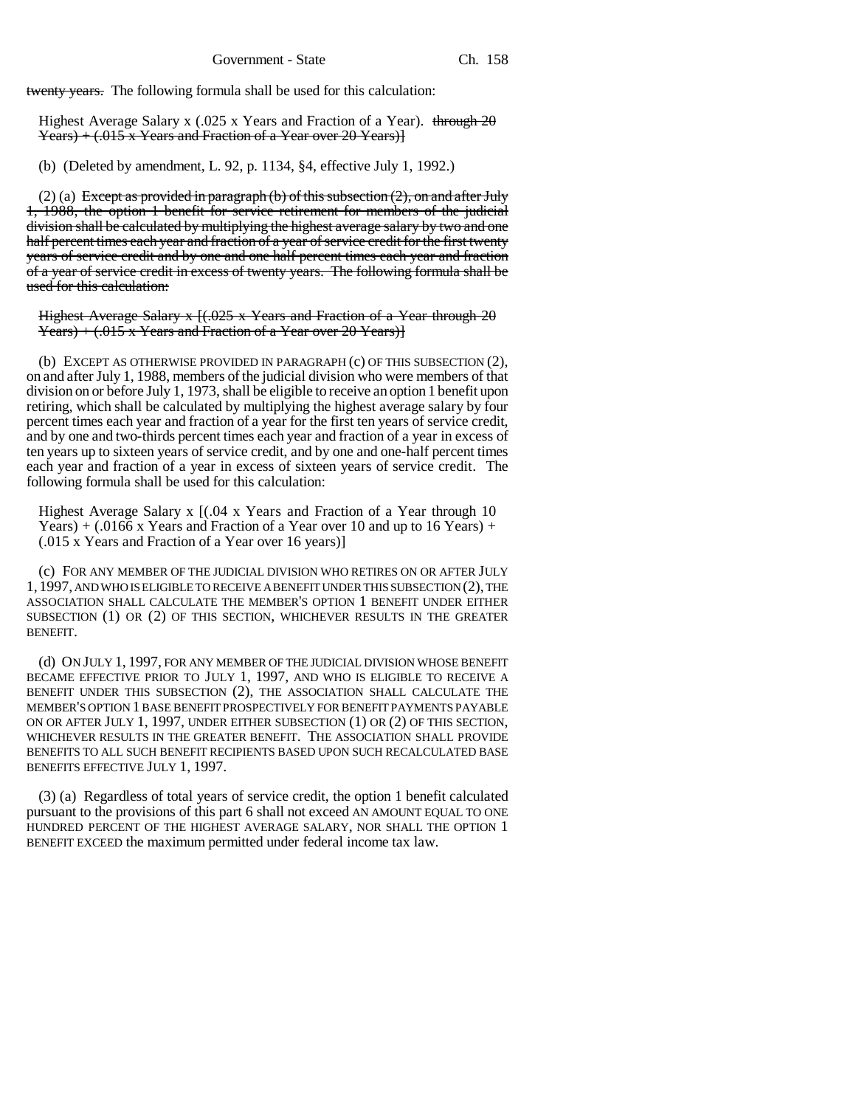twenty years. The following formula shall be used for this calculation:

Highest Average Salary x (.025 x Years and Fraction of a Year). through  $2\theta$  $\{\text{Pears}\} + (.015 \times \text{Years}$  and Fraction of a Year over 20 Years)

(b) (Deleted by amendment, L. 92, p. 1134, §4, effective July 1, 1992.)

(2) (a) Except as provided in paragraph (b) of this subsection  $(2)$ , on and after July 1, 1988, the option 1 benefit for service retirement for members of the judicial division shall be calculated by multiplying the highest average salary by two and one half percent times each year and fraction of a year of service credit for the first twenty years of service credit and by one and one half percent times each year and fraction of a year of service credit in excess of twenty years. The following formula shall be used for this calculation:

Highest Average Salary  $x$  [ $(.025 \times \text{Years}$  and Fraction of a Year through 20  $\{\text{Years}\} + (.015 \times \text{Years} \text{ and Fraction of a Year over } 20 \text{ Years}\}$ 

(b) EXCEPT AS OTHERWISE PROVIDED IN PARAGRAPH (c) OF THIS SUBSECTION (2), on and after July 1, 1988, members of the judicial division who were members of that division on or before July 1, 1973, shall be eligible to receive an option 1 benefit upon retiring, which shall be calculated by multiplying the highest average salary by four percent times each year and fraction of a year for the first ten years of service credit, and by one and two-thirds percent times each year and fraction of a year in excess of ten years up to sixteen years of service credit, and by one and one-half percent times each year and fraction of a year in excess of sixteen years of service credit. The following formula shall be used for this calculation:

Highest Average Salary x  $[(.04 \times \text{Years} \text{ and } \text{Fraction of} \text{ a } \text{Year} \text{ through } 10$ Years)  $+$  (.0166 x Years and Fraction of a Year over 10 and up to 16 Years)  $+$ (.015 x Years and Fraction of a Year over 16 years)]

(c) FOR ANY MEMBER OF THE JUDICIAL DIVISION WHO RETIRES ON OR AFTER JULY 1,1997, AND WHO IS ELIGIBLE TO RECEIVE A BENEFIT UNDER THIS SUBSECTION (2), THE ASSOCIATION SHALL CALCULATE THE MEMBER'S OPTION 1 BENEFIT UNDER EITHER SUBSECTION (1) OR (2) OF THIS SECTION, WHICHEVER RESULTS IN THE GREATER BENEFIT.

(d) ON JULY 1, 1997, FOR ANY MEMBER OF THE JUDICIAL DIVISION WHOSE BENEFIT BECAME EFFECTIVE PRIOR TO JULY 1, 1997, AND WHO IS ELIGIBLE TO RECEIVE A BENEFIT UNDER THIS SUBSECTION (2), THE ASSOCIATION SHALL CALCULATE THE MEMBER'S OPTION 1 BASE BENEFIT PROSPECTIVELY FOR BENEFIT PAYMENTS PAYABLE<br>ON OR AFTER JULY 1, 1997, UNDER EITHER SUBSECTION (1) OR (2) OF THIS SECTION, WHICHEVER RESULTS IN THE GREATER BENEFIT. THE ASSOCIATION SHALL PROVIDE BENEFITS TO ALL SUCH BENEFIT RECIPIENTS BASED UPON SUCH RECALCULATED BASE BENEFITS EFFECTIVE JULY 1, 1997.

(3) (a) Regardless of total years of service credit, the option 1 benefit calculated pursuant to the provisions of this part 6 shall not exceed AN AMOUNT EQUAL TO ONE HUNDRED PERCENT OF THE HIGHEST AVERAGE SALARY, NOR SHALL THE OPTION 1 BENEFIT EXCEED the maximum permitted under federal income tax law.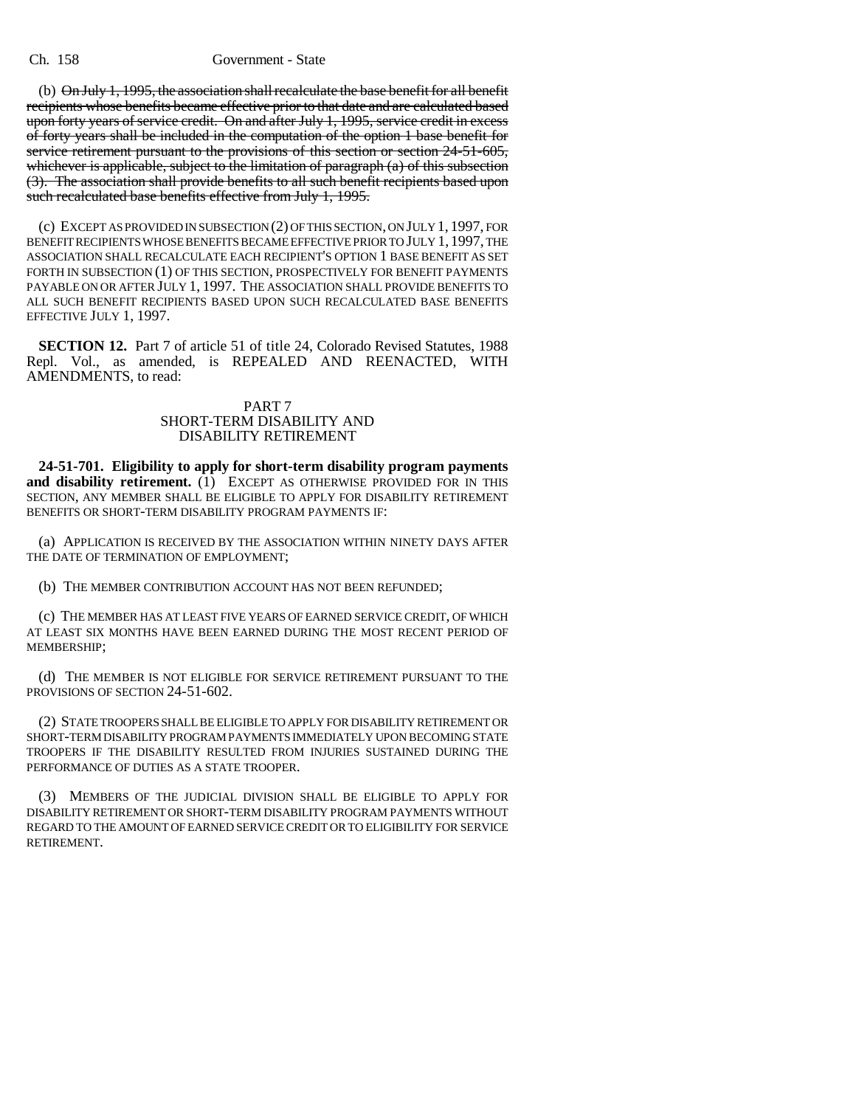#### Ch. 158 Government - State

(b) On July 1, 1995, the association shall recalculate the base benefit for all benefit recipients whose benefits became effective prior to that date and are calculated based upon forty years of service credit. On and after July 1, 1995, service credit in excess of forty years shall be included in the computation of the option 1 base benefit for service retirement pursuant to the provisions of this section or section 24-51-605, whichever is applicable, subject to the limitation of paragraph (a) of this subsection (3). The association shall provide benefits to all such benefit recipients based upon such recalculated base benefits effective from July 1, 1995.

(c) EXCEPT AS PROVIDED IN SUBSECTION (2) OF THIS SECTION, ON JULY 1, 1997, FOR BENEFIT RECIPIENTS WHOSE BENEFITS BECAME EFFECTIVE PRIOR TO JULY 1, 1997, THE ASSOCIATION SHALL RECALCULATE EACH RECIPIENT'S OPTION 1 BASE BENEFIT AS SET FORTH IN SUBSECTION (1) OF THIS SECTION, PROSPECTIVELY FOR BENEFIT PAYMENTS PAYABLE ON OR AFTER JULY 1, 1997. THE ASSOCIATION SHALL PROVIDE BENEFITS TO ALL SUCH BENEFIT RECIPIENTS BASED UPON SUCH RECALCULATED BASE BENEFITS EFFECTIVE JULY 1, 1997.

**SECTION 12.** Part 7 of article 51 of title 24, Colorado Revised Statutes, 1988 Repl. Vol., as amended, is REPEALED AND REENACTED, WITH AMENDMENTS, to read:

## PART 7 SHORT-TERM DISABILITY AND DISABILITY RETIREMENT

**24-51-701. Eligibility to apply for short-term disability program payments and disability retirement.** (1) EXCEPT AS OTHERWISE PROVIDED FOR IN THIS SECTION, ANY MEMBER SHALL BE ELIGIBLE TO APPLY FOR DISABILITY RETIREMENT BENEFITS OR SHORT-TERM DISABILITY PROGRAM PAYMENTS IF:

(a) APPLICATION IS RECEIVED BY THE ASSOCIATION WITHIN NINETY DAYS AFTER THE DATE OF TERMINATION OF EMPLOYMENT;

(b) THE MEMBER CONTRIBUTION ACCOUNT HAS NOT BEEN REFUNDED;

(c) THE MEMBER HAS AT LEAST FIVE YEARS OF EARNED SERVICE CREDIT, OF WHICH AT LEAST SIX MONTHS HAVE BEEN EARNED DURING THE MOST RECENT PERIOD OF MEMBERSHIP;

(d) THE MEMBER IS NOT ELIGIBLE FOR SERVICE RETIREMENT PURSUANT TO THE PROVISIONS OF SECTION 24-51-602.

(2) STATE TROOPERS SHALL BE ELIGIBLE TO APPLY FOR DISABILITY RETIREMENT OR SHORT-TERM DISABILITY PROGRAM PAYMENTS IMMEDIATELY UPON BECOMING STATE TROOPERS IF THE DISABILITY RESULTED FROM INJURIES SUSTAINED DURING THE PERFORMANCE OF DUTIES AS A STATE TROOPER.

(3) MEMBERS OF THE JUDICIAL DIVISION SHALL BE ELIGIBLE TO APPLY FOR DISABILITY RETIREMENT OR SHORT-TERM DISABILITY PROGRAM PAYMENTS WITHOUT REGARD TO THE AMOUNT OF EARNED SERVICE CREDIT OR TO ELIGIBILITY FOR SERVICE RETIREMENT.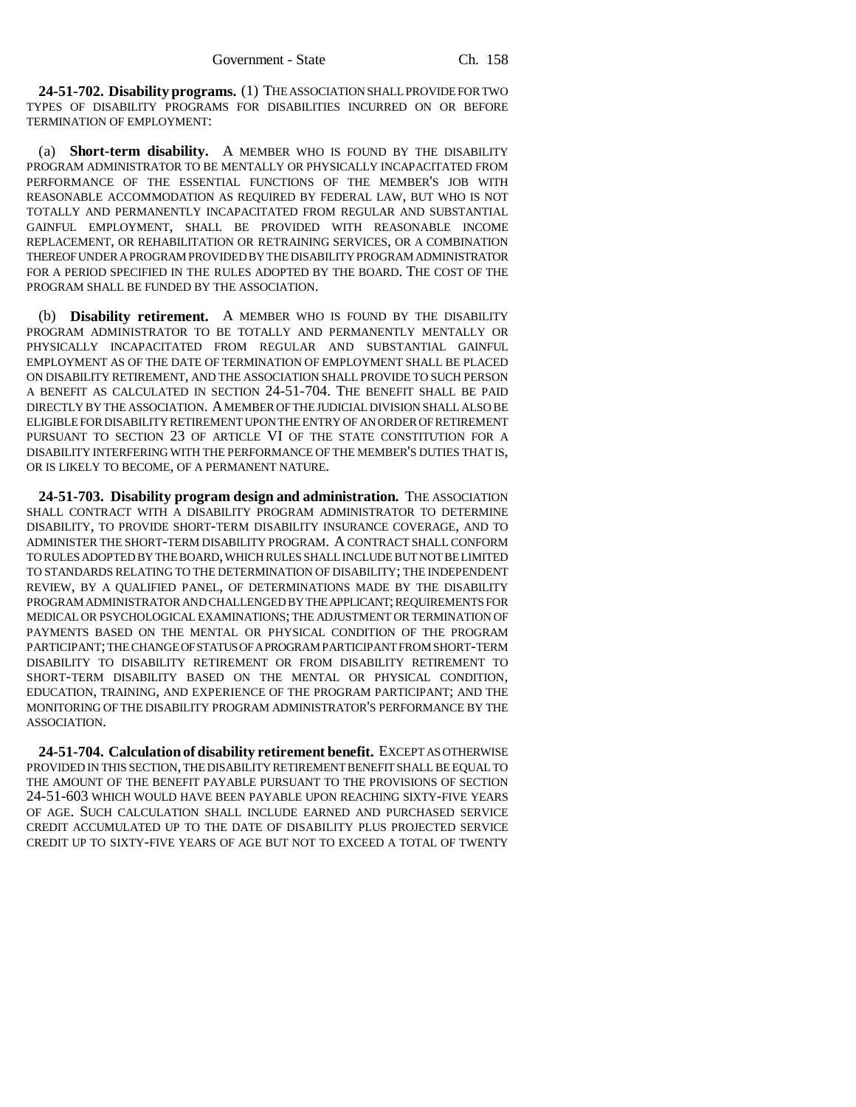**24-51-702. Disability programs.** (1) THE ASSOCIATION SHALL PROVIDE FOR TWO TYPES OF DISABILITY PROGRAMS FOR DISABILITIES INCURRED ON OR BEFORE TERMINATION OF EMPLOYMENT:

(a) **Short-term disability.** A MEMBER WHO IS FOUND BY THE DISABILITY PROGRAM ADMINISTRATOR TO BE MENTALLY OR PHYSICALLY INCAPACITATED FROM PERFORMANCE OF THE ESSENTIAL FUNCTIONS OF THE MEMBER'S JOB WITH REASONABLE ACCOMMODATION AS REQUIRED BY FEDERAL LAW, BUT WHO IS NOT TOTALLY AND PERMANENTLY INCAPACITATED FROM REGULAR AND SUBSTANTIAL GAINFUL EMPLOYMENT, SHALL BE PROVIDED WITH REASONABLE INCOME REPLACEMENT, OR REHABILITATION OR RETRAINING SERVICES, OR A COMBINATION THEREOF UNDER A PROGRAM PROVIDED BY THE DISABILITY PROGRAM ADMINISTRATOR FOR A PERIOD SPECIFIED IN THE RULES ADOPTED BY THE BOARD. THE COST OF THE PROGRAM SHALL BE FUNDED BY THE ASSOCIATION.

(b) **Disability retirement.** A MEMBER WHO IS FOUND BY THE DISABILITY PROGRAM ADMINISTRATOR TO BE TOTALLY AND PERMANENTLY MENTALLY OR PHYSICALLY INCAPACITATED FROM REGULAR AND SUBSTANTIAL GAINFUL EMPLOYMENT AS OF THE DATE OF TERMINATION OF EMPLOYMENT SHALL BE PLACED ON DISABILITY RETIREMENT, AND THE ASSOCIATION SHALL PROVIDE TO SUCH PERSON A BENEFIT AS CALCULATED IN SECTION 24-51-704. THE BENEFIT SHALL BE PAID DIRECTLY BY THE ASSOCIATION. A MEMBER OF THE JUDICIAL DIVISION SHALL ALSO BE ELIGIBLE FOR DISABILITY RETIREMENT UPON THE ENTRY OF AN ORDER OF RETIREMENT PURSUANT TO SECTION 23 OF ARTICLE VI OF THE STATE CONSTITUTION FOR A DISABILITY INTERFERING WITH THE PERFORMANCE OF THE MEMBER'S DUTIES THAT IS, OR IS LIKELY TO BECOME, OF A PERMANENT NATURE.

**24-51-703. Disability program design and administration.** THE ASSOCIATION SHALL CONTRACT WITH A DISABILITY PROGRAM ADMINISTRATOR TO DETERMINE DISABILITY, TO PROVIDE SHORT-TERM DISABILITY INSURANCE COVERAGE, AND TO ADMINISTER THE SHORT-TERM DISABILITY PROGRAM. A CONTRACT SHALL CONFORM TO RULES ADOPTED BY THE BOARD, WHICH RULES SHALL INCLUDE BUT NOT BE LIMITED TO STANDARDS RELATING TO THE DETERMINATION OF DISABILITY; THE INDEPENDENT REVIEW, BY A QUALIFIED PANEL, OF DETERMINATIONS MADE BY THE DISABILITY PROGRAM ADMINISTRATOR AND CHALLENGED BY THE APPLICANT; REQUIREMENTS FOR MEDICAL OR PSYCHOLOGICAL EXAMINATIONS; THE ADJUSTMENT OR TERMINATION OF PAYMENTS BASED ON THE MENTAL OR PHYSICAL CONDITION OF THE PROGRAM PARTICIPANT; THE CHANGE OF STATUS OF A PROGRAM PARTICIPANT FROM SHORT-TERM DISABILITY TO DISABILITY RETIREMENT OR FROM DISABILITY RETIREMENT TO SHORT-TERM DISABILITY BASED ON THE MENTAL OR PHYSICAL CONDITION, EDUCATION, TRAINING, AND EXPERIENCE OF THE PROGRAM PARTICIPANT; AND THE MONITORING OF THE DISABILITY PROGRAM ADMINISTRATOR'S PERFORMANCE BY THE ASSOCIATION.

**24-51-704. Calculation of disability retirement benefit.** EXCEPT AS OTHERWISE PROVIDED IN THIS SECTION, THE DISABILITY RETIREMENT BENEFIT SHALL BE EQUAL TO THE AMOUNT OF THE BENEFIT PAYABLE PURSUANT TO THE PROVISIONS OF SECTION 24-51-603 WHICH WOULD HAVE BEEN PAYABLE UPON REACHING SIXTY-FIVE YEARS OF AGE. SUCH CALCULATION SHALL INCLUDE EARNED AND PURCHASED SERVICE CREDIT ACCUMULATED UP TO THE DATE OF DISABILITY PLUS PROJECTED SERVICE CREDIT UP TO SIXTY-FIVE YEARS OF AGE BUT NOT TO EXCEED A TOTAL OF TWENTY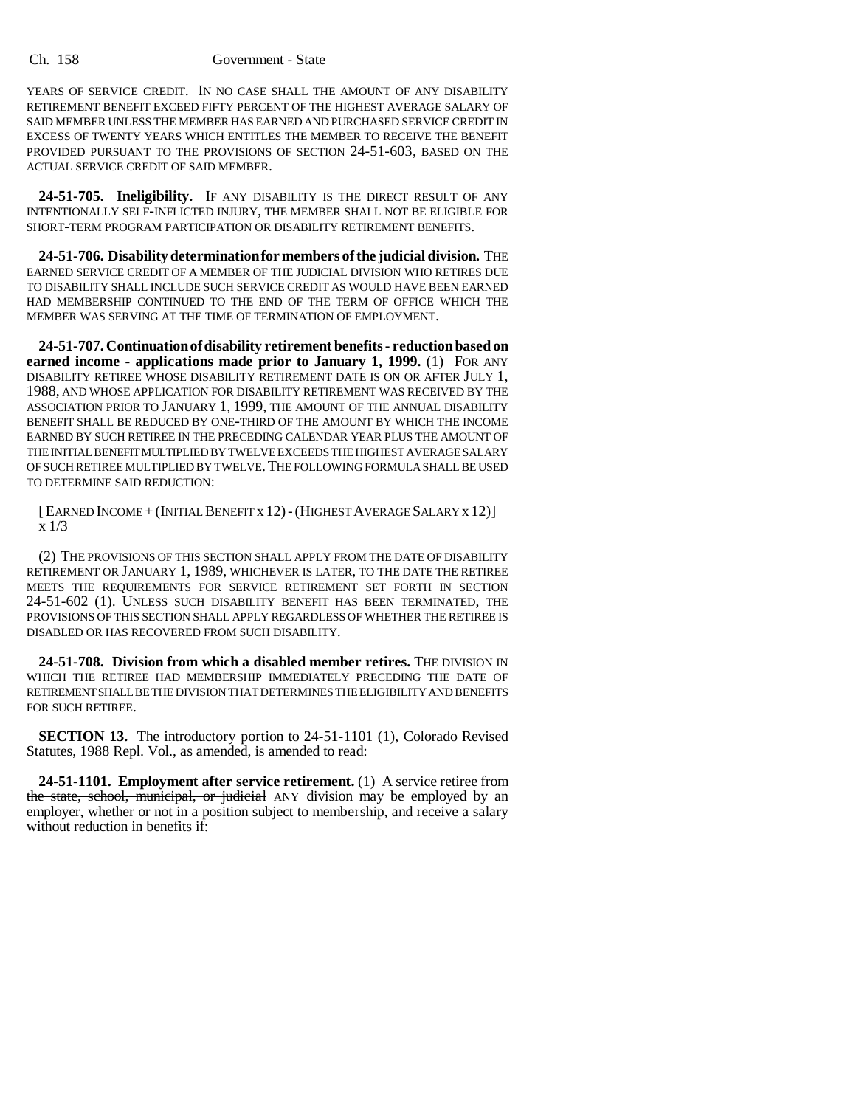#### Ch. 158 Government - State

YEARS OF SERVICE CREDIT. IN NO CASE SHALL THE AMOUNT OF ANY DISABILITY RETIREMENT BENEFIT EXCEED FIFTY PERCENT OF THE HIGHEST AVERAGE SALARY OF SAID MEMBER UNLESS THE MEMBER HAS EARNED AND PURCHASED SERVICE CREDIT IN EXCESS OF TWENTY YEARS WHICH ENTITLES THE MEMBER TO RECEIVE THE BENEFIT PROVIDED PURSUANT TO THE PROVISIONS OF SECTION 24-51-603, BASED ON THE ACTUAL SERVICE CREDIT OF SAID MEMBER.

**24-51-705. Ineligibility.** IF ANY DISABILITY IS THE DIRECT RESULT OF ANY INTENTIONALLY SELF-INFLICTED INJURY, THE MEMBER SHALL NOT BE ELIGIBLE FOR SHORT-TERM PROGRAM PARTICIPATION OR DISABILITY RETIREMENT BENEFITS.

**24-51-706. Disability determination for members of the judicial division.** THE EARNED SERVICE CREDIT OF A MEMBER OF THE JUDICIAL DIVISION WHO RETIRES DUE TO DISABILITY SHALL INCLUDE SUCH SERVICE CREDIT AS WOULD HAVE BEEN EARNED HAD MEMBERSHIP CONTINUED TO THE END OF THE TERM OF OFFICE WHICH THE MEMBER WAS SERVING AT THE TIME OF TERMINATION OF EMPLOYMENT.

**24-51-707. Continuation of disability retirement benefits - reduction based on earned income - applications made prior to January 1, 1999.** (1) FOR ANY DISABILITY RETIREE WHOSE DISABILITY RETIREMENT DATE IS ON OR AFTER JULY 1, 1988, AND WHOSE APPLICATION FOR DISABILITY RETIREMENT WAS RECEIVED BY THE ASSOCIATION PRIOR TO JANUARY 1, 1999, THE AMOUNT OF THE ANNUAL DISABILITY BENEFIT SHALL BE REDUCED BY ONE-THIRD OF THE AMOUNT BY WHICH THE INCOME EARNED BY SUCH RETIREE IN THE PRECEDING CALENDAR YEAR PLUS THE AMOUNT OF THE INITIAL BENEFIT MULTIPLIED BY TWELVE EXCEEDS THE HIGHEST AVERAGE SALARY OF SUCH RETIREE MULTIPLIED BY TWELVE.THE FOLLOWING FORMULA SHALL BE USED TO DETERMINE SAID REDUCTION:

[EARNED INCOME +(INITIAL BENEFIT x 12)-(HIGHEST AVERAGE SALARY x 12)] x 1/3

(2) THE PROVISIONS OF THIS SECTION SHALL APPLY FROM THE DATE OF DISABILITY RETIREMENT OR JANUARY 1, 1989, WHICHEVER IS LATER, TO THE DATE THE RETIREE MEETS THE REQUIREMENTS FOR SERVICE RETIREMENT SET FORTH IN SECTION 24-51-602 (1). UNLESS SUCH DISABILITY BENEFIT HAS BEEN TERMINATED, THE PROVISIONS OF THIS SECTION SHALL APPLY REGARDLESS OF WHETHER THE RETIREE IS DISABLED OR HAS RECOVERED FROM SUCH DISABILITY.

**24-51-708. Division from which a disabled member retires.** THE DIVISION IN WHICH THE RETIREE HAD MEMBERSHIP IMMEDIATELY PRECEDING THE DATE OF RETIREMENT SHALL BE THE DIVISION THAT DETERMINES THE ELIGIBILITY AND BENEFITS FOR SUCH RETIREE.

**SECTION 13.** The introductory portion to 24-51-1101 (1), Colorado Revised Statutes, 1988 Repl. Vol., as amended, is amended to read:

**24-51-1101. Employment after service retirement.** (1) A service retiree from the state, school, municipal, or judicial ANY division may be employed by an employer, whether or not in a position subject to membership, and receive a salary without reduction in benefits if: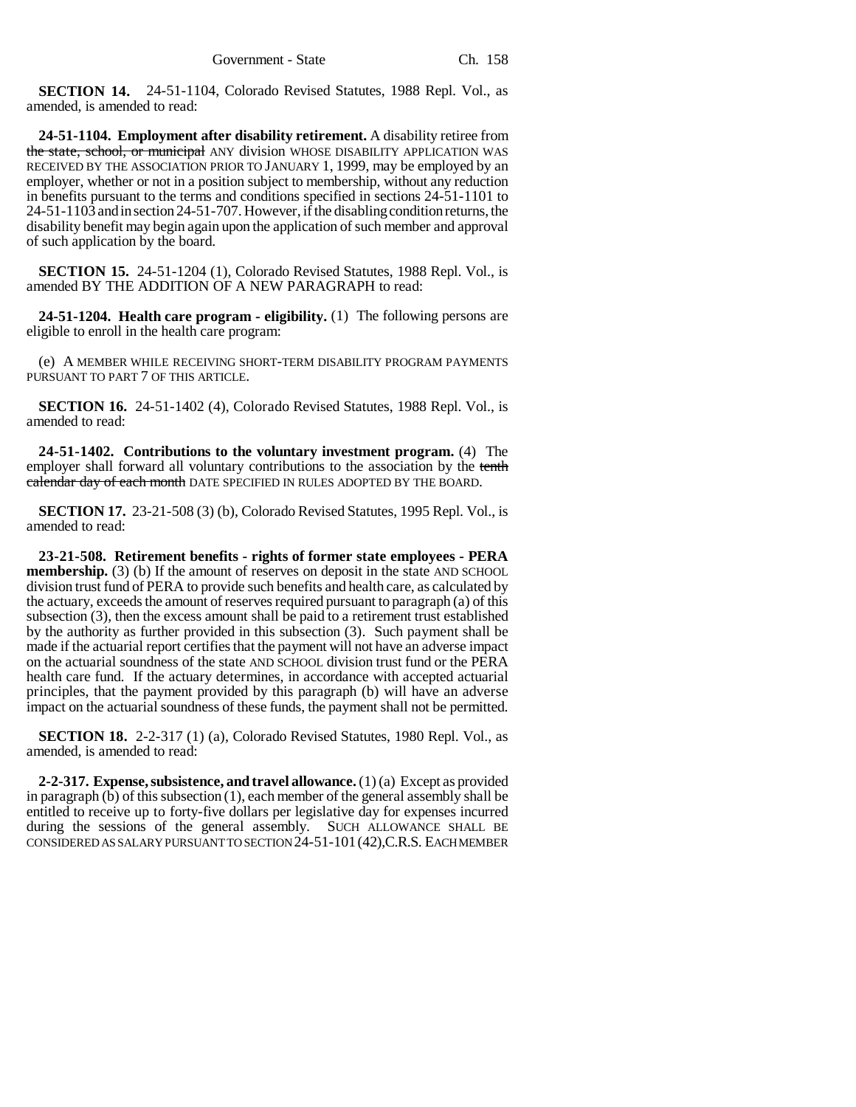**SECTION 14.** 24-51-1104, Colorado Revised Statutes, 1988 Repl. Vol., as amended, is amended to read:

**24-51-1104. Employment after disability retirement.** A disability retiree from the state, school, or municipal ANY division WHOSE DISABILITY APPLICATION WAS RECEIVED BY THE ASSOCIATION PRIOR TO JANUARY 1, 1999, may be employed by an employer, whether or not in a position subject to membership, without any reduction in benefits pursuant to the terms and conditions specified in sections 24-51-1101 to 24-51-1103 and in section 24-51-707. However, if the disabling condition returns, the disability benefit may begin again upon the application of such member and approval of such application by the board.

**SECTION 15.** 24-51-1204 (1), Colorado Revised Statutes, 1988 Repl. Vol., is amended BY THE ADDITION OF A NEW PARAGRAPH to read:

**24-51-1204. Health care program - eligibility.** (1) The following persons are eligible to enroll in the health care program:

(e) A MEMBER WHILE RECEIVING SHORT-TERM DISABILITY PROGRAM PAYMENTS PURSUANT TO PART 7 OF THIS ARTICLE.

**SECTION 16.** 24-51-1402 (4), Colorado Revised Statutes, 1988 Repl. Vol., is amended to read:

**24-51-1402. Contributions to the voluntary investment program.** (4) The employer shall forward all voluntary contributions to the association by the tenth ealendar day of each month DATE SPECIFIED IN RULES ADOPTED BY THE BOARD.

**SECTION 17.** 23-21-508 (3) (b), Colorado Revised Statutes, 1995 Repl. Vol., is amended to read:

**23-21-508. Retirement benefits - rights of former state employees - PERA membership.** (3) (b) If the amount of reserves on deposit in the state AND SCHOOL division trust fund of PERA to provide such benefits and health care, as calculated by the actuary, exceeds the amount of reserves required pursuant to paragraph (a) of this subsection (3), then the excess amount shall be paid to a retirement trust established by the authority as further provided in this subsection (3). Such payment shall be made if the actuarial report certifies that the payment will not have an adverse impact on the actuarial soundness of the state AND SCHOOL division trust fund or the PERA health care fund. If the actuary determines, in accordance with accepted actuarial principles, that the payment provided by this paragraph (b) will have an adverse impact on the actuarial soundness of these funds, the payment shall not be permitted.

**SECTION 18.** 2-2-317 (1) (a), Colorado Revised Statutes, 1980 Repl. Vol., as amended, is amended to read:

**2-2-317. Expense, subsistence, and travel allowance.** (1) (a) Except as provided in paragraph (b) of this subsection (1), each member of the general assembly shall be entitled to receive up to forty-five dollars per legislative day for expenses incurred during the sessions of the general assembly. SUCH ALLOWANCE SHALL BE CONSIDERED AS SALARY PURSUANT TO SECTION 24-51-101(42),C.R.S. EACH MEMBER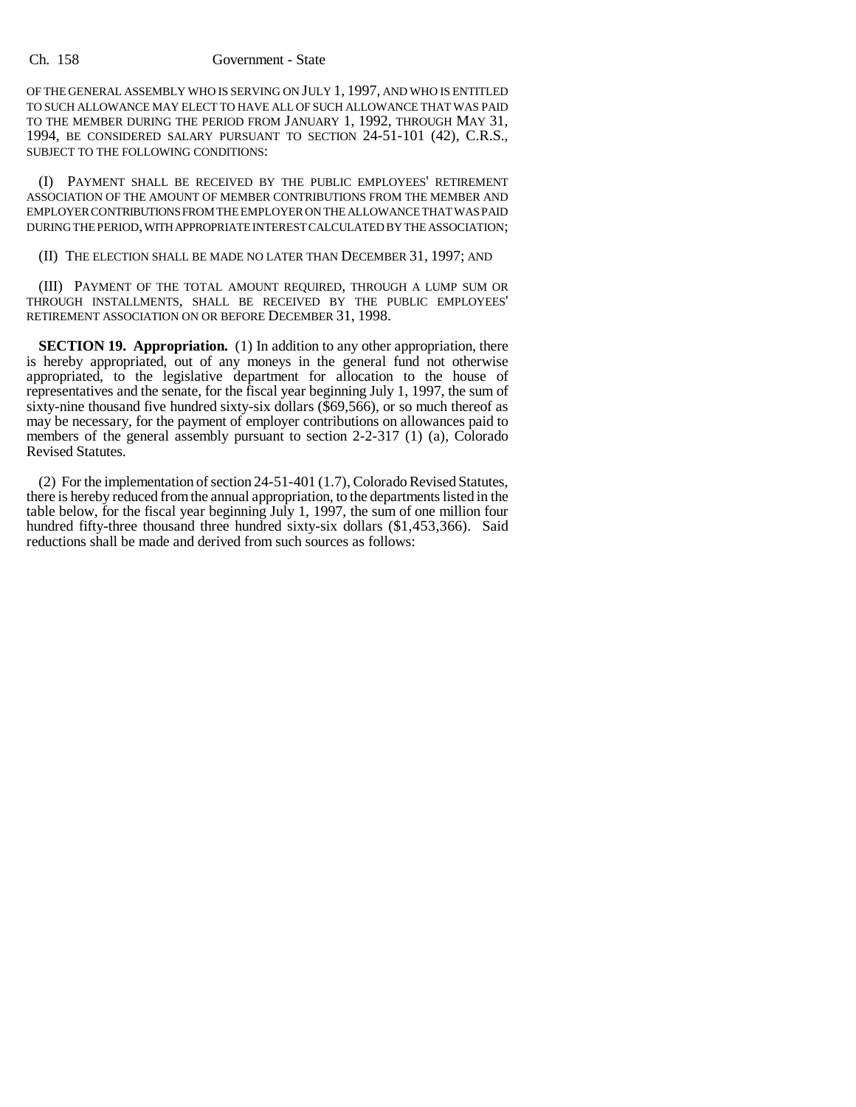#### Ch. 158 Government - State

OF THE GENERAL ASSEMBLY WHO IS SERVING ON JULY 1, 1997, AND WHO IS ENTITLED TO SUCH ALLOWANCE MAY ELECT TO HAVE ALL OF SUCH ALLOWANCE THAT WAS PAID TO THE MEMBER DURING THE PERIOD FROM JANUARY 1, 1992, THROUGH MAY 31, 1994, BE CONSIDERED SALARY PURSUANT TO SECTION 24-51-101 (42), C.R.S., SUBJECT TO THE FOLLOWING CONDITIONS:

(I) PAYMENT SHALL BE RECEIVED BY THE PUBLIC EMPLOYEES' RETIREMENT ASSOCIATION OF THE AMOUNT OF MEMBER CONTRIBUTIONS FROM THE MEMBER AND EMPLOYER CONTRIBUTIONS FROM THE EMPLOYER ON THE ALLOWANCE THAT WAS PAID DURING THE PERIOD, WITH APPROPRIATE INTEREST CALCULATED BY THE ASSOCIATION;

### (II) THE ELECTION SHALL BE MADE NO LATER THAN DECEMBER 31, 1997; AND

(III) PAYMENT OF THE TOTAL AMOUNT REQUIRED, THROUGH A LUMP SUM OR THROUGH INSTALLMENTS, SHALL BE RECEIVED BY THE PUBLIC EMPLOYEES' RETIREMENT ASSOCIATION ON OR BEFORE DECEMBER 31, 1998.

**SECTION 19. Appropriation.** (1) In addition to any other appropriation, there is hereby appropriated, out of any moneys in the general fund not otherwise appropriated, to the legislative department for allocation to the house of representatives and the senate, for the fiscal year beginning July 1, 1997, the sum of sixty-nine thousand five hundred sixty-six dollars (\$69,566), or so much thereof as may be necessary, for the payment of employer contributions on allowances paid to members of the general assembly pursuant to section 2-2-317 (1) (a), Colorado Revised Statutes.

(2) For the implementation of section 24-51-401 (1.7), Colorado Revised Statutes, there is hereby reduced from the annual appropriation, to the departments listed in the table below, for the fiscal year beginning July 1, 1997, the sum of one million four hundred fifty-three thousand three hundred sixty-six dollars (\$1,453,366). Said reductions shall be made and derived from such sources as follows: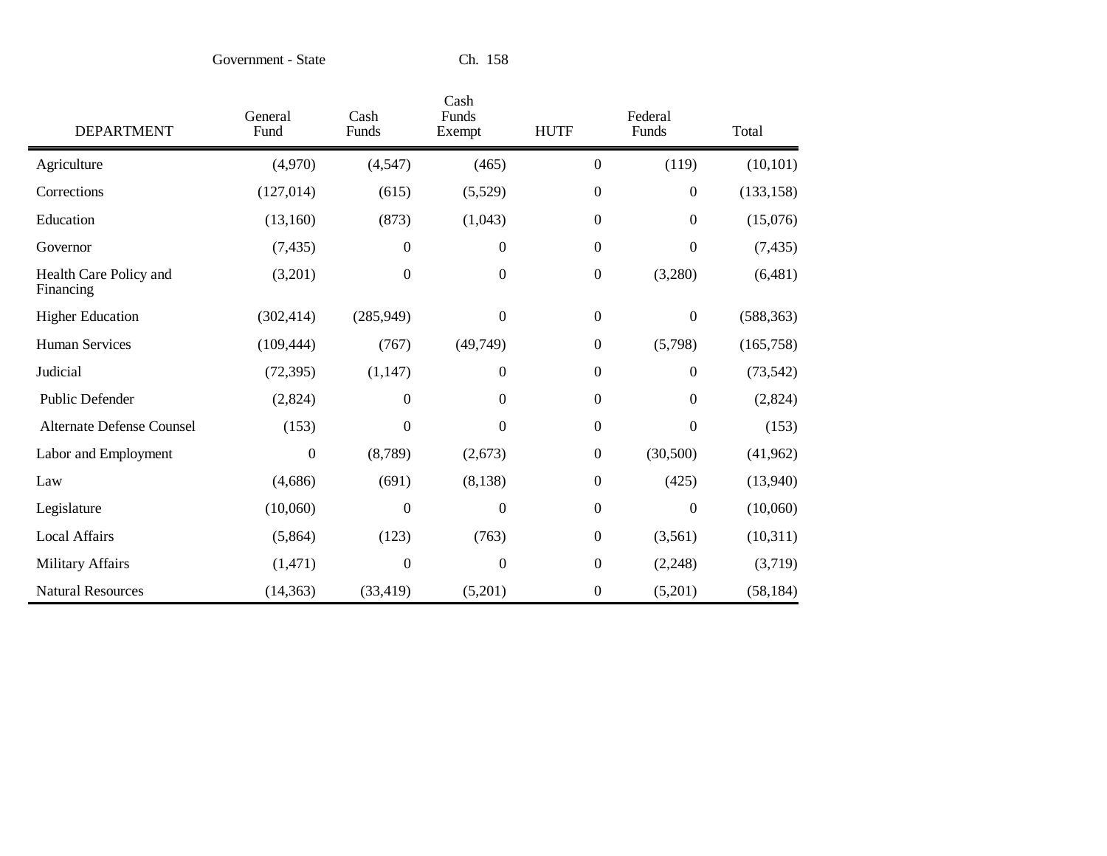Government - State

| <b>DEPARTMENT</b>                   | General<br>Fund | Cash<br>Funds    | Cash<br>Funds<br>Exempt | <b>HUTF</b>      | Federal<br>Funds | Total      |
|-------------------------------------|-----------------|------------------|-------------------------|------------------|------------------|------------|
| Agriculture                         | (4,970)         | (4, 547)         | (465)                   | $\overline{0}$   | (119)            | (10, 101)  |
| Corrections                         | (127, 014)      | (615)            | (5,529)                 | $\boldsymbol{0}$ | $\boldsymbol{0}$ | (133, 158) |
| Education                           | (13,160)        | (873)            | (1,043)                 | $\boldsymbol{0}$ | $\boldsymbol{0}$ | (15,076)   |
| Governor                            | (7, 435)        | $\boldsymbol{0}$ | $\boldsymbol{0}$        | $\boldsymbol{0}$ | $\boldsymbol{0}$ | (7, 435)   |
| Health Care Policy and<br>Financing | (3,201)         | $\boldsymbol{0}$ | $\mathbf{0}$            | $\boldsymbol{0}$ | (3,280)          | (6,481)    |
| <b>Higher Education</b>             | (302, 414)      | (285, 949)       | $\theta$                | $\overline{0}$   | $\boldsymbol{0}$ | (588, 363) |
| <b>Human Services</b>               | (109, 444)      | (767)            | (49,749)                | $\mathbf{0}$     | (5,798)          | (165, 758) |
| Judicial                            | (72, 395)       | (1, 147)         | $\theta$                | $\boldsymbol{0}$ | $\boldsymbol{0}$ | (73, 542)  |
| <b>Public Defender</b>              | (2,824)         | $\boldsymbol{0}$ | $\theta$                | $\overline{0}$   | $\boldsymbol{0}$ | (2,824)    |
| <b>Alternate Defense Counsel</b>    | (153)           | $\overline{0}$   | $\overline{0}$          | $\Omega$         | $\overline{0}$   | (153)      |
| Labor and Employment                | $\mathbf{0}$    | (8,789)          | (2,673)                 | $\mathbf{0}$     | (30,500)         | (41, 962)  |
| Law                                 | (4,686)         | (691)            | (8, 138)                | $\boldsymbol{0}$ | (425)            | (13,940)   |
| Legislature                         | (10,060)        | $\boldsymbol{0}$ | $\theta$                | $\overline{0}$   | $\boldsymbol{0}$ | (10,060)   |
| Local Affairs                       | (5,864)         | (123)            | (763)                   | $\boldsymbol{0}$ | (3,561)          | (10,311)   |
| <b>Military Affairs</b>             | (1,471)         | $\boldsymbol{0}$ | $\boldsymbol{0}$        | $\Omega$         | (2,248)          | (3,719)    |
| <b>Natural Resources</b>            | (14, 363)       | (33, 419)        | (5,201)                 | $\theta$         | (5,201)          | (58, 184)  |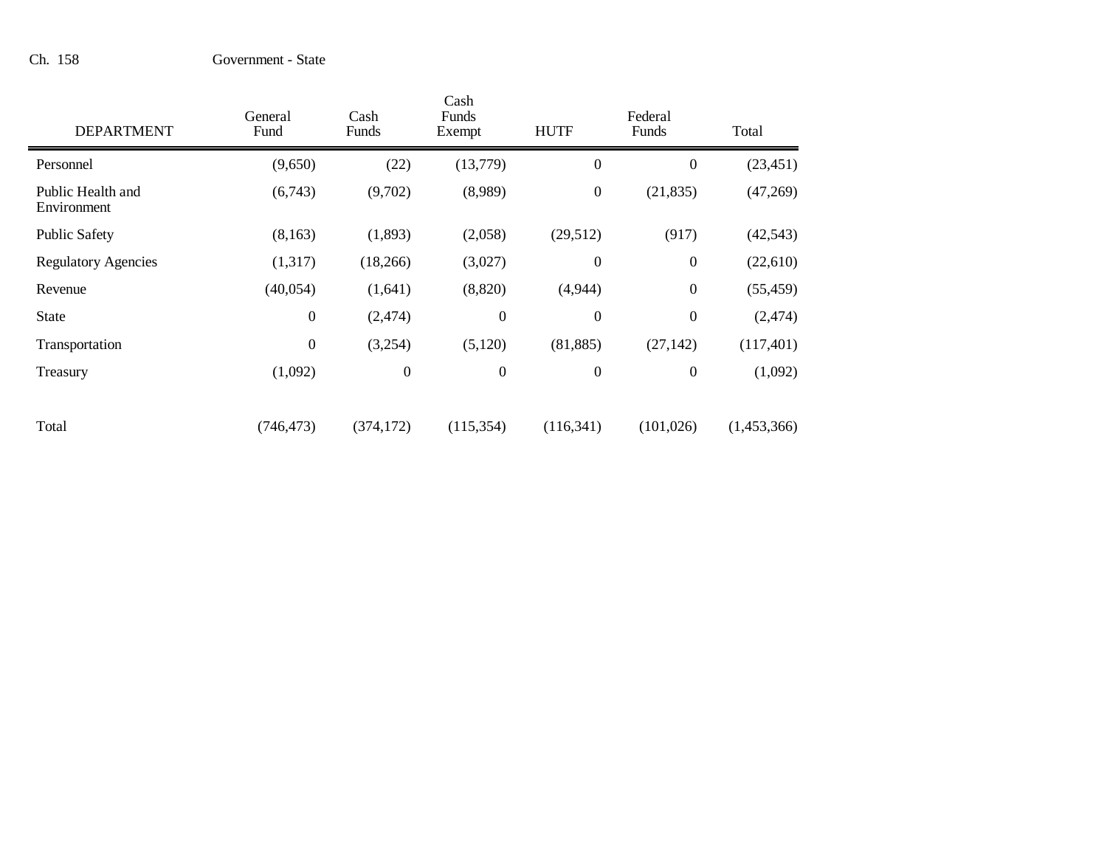| <b>DEPARTMENT</b>                | General<br>Fund  | Cash<br>Funds    | Cash<br>Funds<br>Exempt | <b>HUTF</b>      | Federal<br>Funds | Total       |
|----------------------------------|------------------|------------------|-------------------------|------------------|------------------|-------------|
| Personnel                        | (9,650)          | (22)             | (13,779)                | $\overline{0}$   | $\boldsymbol{0}$ | (23, 451)   |
| Public Health and<br>Environment | (6,743)          | (9,702)          | (8,989)                 | $\boldsymbol{0}$ | (21, 835)        | (47,269)    |
| <b>Public Safety</b>             | (8,163)          | (1,893)          | (2,058)                 | (29,512)         | (917)            | (42, 543)   |
| <b>Regulatory Agencies</b>       | (1,317)          | (18,266)         | (3,027)                 | $\theta$         | $\boldsymbol{0}$ | (22,610)    |
| Revenue                          | (40, 054)        | (1,641)          | (8,820)                 | (4,944)          | $\boldsymbol{0}$ | (55, 459)   |
| <b>State</b>                     | $\boldsymbol{0}$ | (2,474)          | $\boldsymbol{0}$        | $\boldsymbol{0}$ | $\boldsymbol{0}$ | (2, 474)    |
| Transportation                   | $\boldsymbol{0}$ | (3,254)          | (5,120)                 | (81, 885)        | (27, 142)        | (117, 401)  |
| Treasury                         | (1,092)          | $\boldsymbol{0}$ | $\boldsymbol{0}$        | $\boldsymbol{0}$ | $\boldsymbol{0}$ | (1,092)     |
| Total                            | (746, 473)       | (374, 172)       | (115, 354)              | (116, 341)       | (101, 026)       | (1,453,366) |